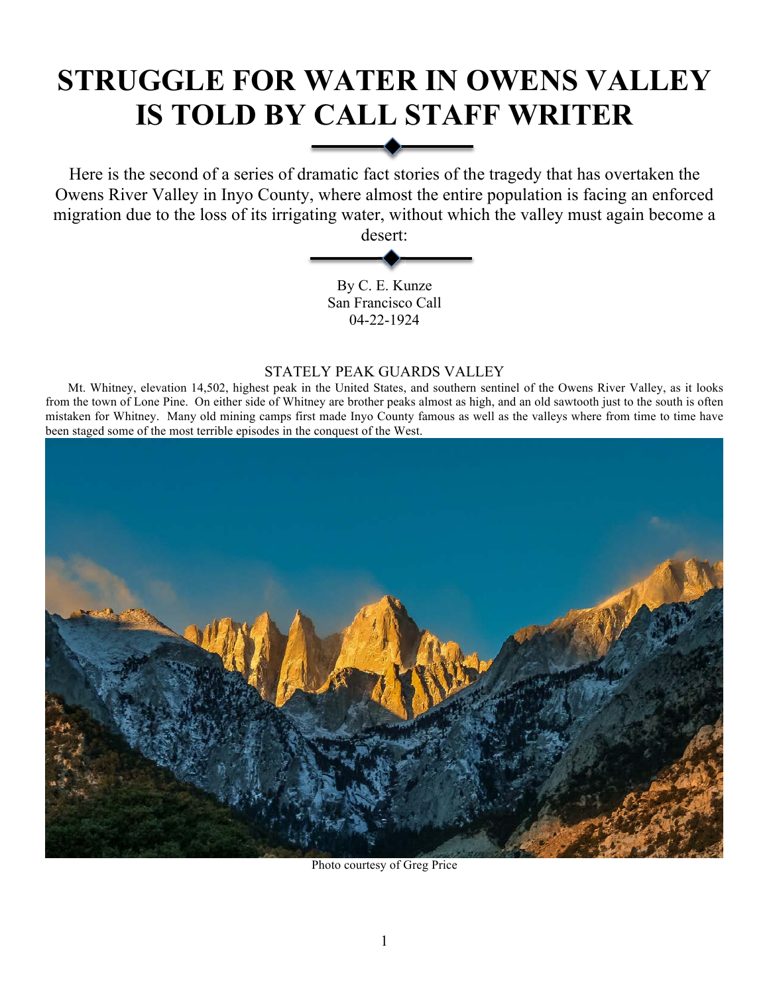# **STRUGGLE FOR WATER IN OWENS VALLEY IS TOLD BY CALL STAFF WRITER**

Here is the second of a series of dramatic fact stories of the tragedy that has overtaken the Owens River Valley in Inyo County, where almost the entire population is facing an enforced migration due to the loss of its irrigating water, without which the valley must again become a

desert:

By C. E. Kunze San Francisco Call 04-22-1924

# STATELY PEAK GUARDS VALLEY

Mt. Whitney, elevation 14,502, highest peak in the United States, and southern sentinel of the Owens River Valley, as it looks from the town of Lone Pine. On either side of Whitney are brother peaks almost as high, and an old sawtooth just to the south is often mistaken for Whitney. Many old mining camps first made Inyo County famous as well as the valleys where from time to time have been staged some of the most terrible episodes in the conquest of the West.



Photo courtesy of Greg Price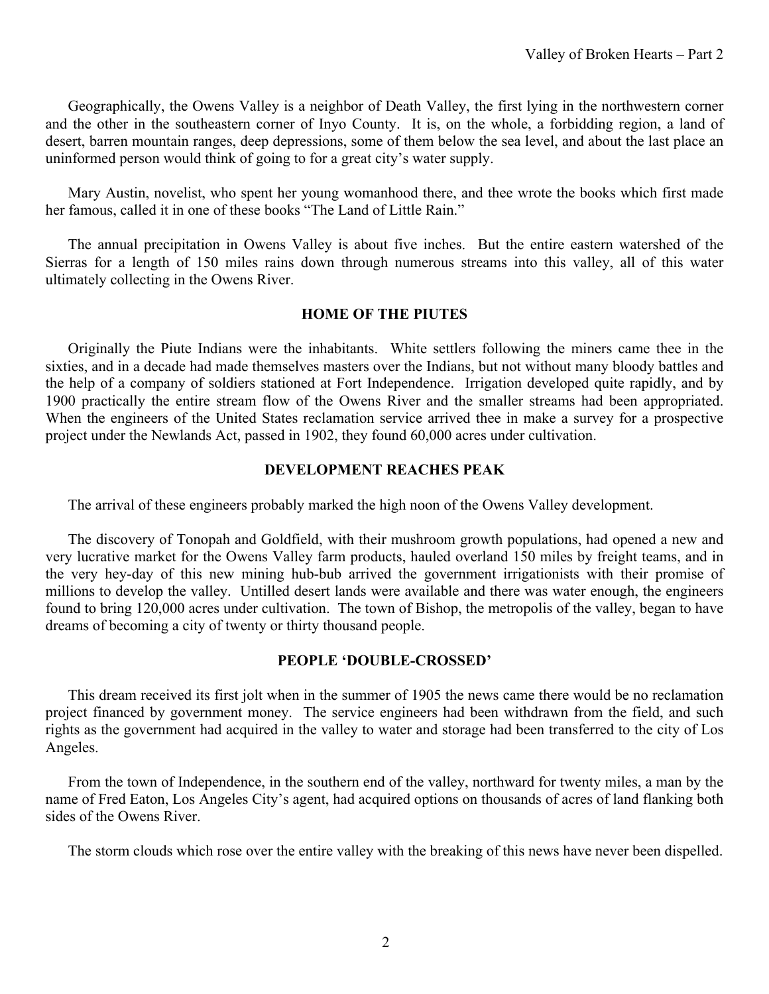Geographically, the Owens Valley is a neighbor of Death Valley, the first lying in the northwestern corner and the other in the southeastern corner of Inyo County. It is, on the whole, a forbidding region, a land of desert, barren mountain ranges, deep depressions, some of them below the sea level, and about the last place an uninformed person would think of going to for a great city's water supply.

Mary Austin, novelist, who spent her young womanhood there, and thee wrote the books which first made her famous, called it in one of these books "The Land of Little Rain."

The annual precipitation in Owens Valley is about five inches. But the entire eastern watershed of the Sierras for a length of 150 miles rains down through numerous streams into this valley, all of this water ultimately collecting in the Owens River.

## **HOME OF THE PIUTES**

Originally the Piute Indians were the inhabitants. White settlers following the miners came thee in the sixties, and in a decade had made themselves masters over the Indians, but not without many bloody battles and the help of a company of soldiers stationed at Fort Independence. Irrigation developed quite rapidly, and by 1900 practically the entire stream flow of the Owens River and the smaller streams had been appropriated. When the engineers of the United States reclamation service arrived thee in make a survey for a prospective project under the Newlands Act, passed in 1902, they found 60,000 acres under cultivation.

## **DEVELOPMENT REACHES PEAK**

The arrival of these engineers probably marked the high noon of the Owens Valley development.

The discovery of Tonopah and Goldfield, with their mushroom growth populations, had opened a new and very lucrative market for the Owens Valley farm products, hauled overland 150 miles by freight teams, and in the very hey-day of this new mining hub-bub arrived the government irrigationists with their promise of millions to develop the valley. Untilled desert lands were available and there was water enough, the engineers found to bring 120,000 acres under cultivation. The town of Bishop, the metropolis of the valley, began to have dreams of becoming a city of twenty or thirty thousand people.

## **PEOPLE 'DOUBLE-CROSSED'**

This dream received its first jolt when in the summer of 1905 the news came there would be no reclamation project financed by government money. The service engineers had been withdrawn from the field, and such rights as the government had acquired in the valley to water and storage had been transferred to the city of Los Angeles.

From the town of Independence, in the southern end of the valley, northward for twenty miles, a man by the name of Fred Eaton, Los Angeles City's agent, had acquired options on thousands of acres of land flanking both sides of the Owens River.

The storm clouds which rose over the entire valley with the breaking of this news have never been dispelled.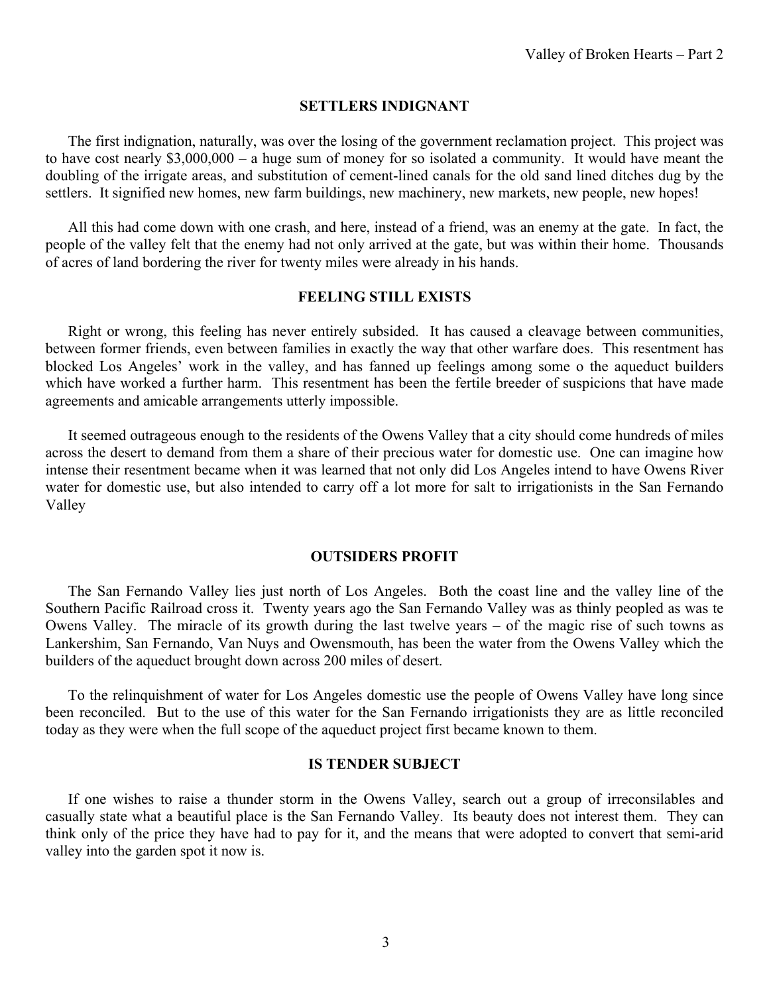#### **SETTLERS INDIGNANT**

The first indignation, naturally, was over the losing of the government reclamation project. This project was to have cost nearly \$3,000,000 – a huge sum of money for so isolated a community. It would have meant the doubling of the irrigate areas, and substitution of cement-lined canals for the old sand lined ditches dug by the settlers. It signified new homes, new farm buildings, new machinery, new markets, new people, new hopes!

All this had come down with one crash, and here, instead of a friend, was an enemy at the gate. In fact, the people of the valley felt that the enemy had not only arrived at the gate, but was within their home. Thousands of acres of land bordering the river for twenty miles were already in his hands.

#### **FEELING STILL EXISTS**

Right or wrong, this feeling has never entirely subsided. It has caused a cleavage between communities, between former friends, even between families in exactly the way that other warfare does. This resentment has blocked Los Angeles' work in the valley, and has fanned up feelings among some o the aqueduct builders which have worked a further harm. This resentment has been the fertile breeder of suspicions that have made agreements and amicable arrangements utterly impossible.

It seemed outrageous enough to the residents of the Owens Valley that a city should come hundreds of miles across the desert to demand from them a share of their precious water for domestic use. One can imagine how intense their resentment became when it was learned that not only did Los Angeles intend to have Owens River water for domestic use, but also intended to carry off a lot more for salt to irrigationists in the San Fernando Valley

#### **OUTSIDERS PROFIT**

The San Fernando Valley lies just north of Los Angeles. Both the coast line and the valley line of the Southern Pacific Railroad cross it. Twenty years ago the San Fernando Valley was as thinly peopled as was te Owens Valley. The miracle of its growth during the last twelve years – of the magic rise of such towns as Lankershim, San Fernando, Van Nuys and Owensmouth, has been the water from the Owens Valley which the builders of the aqueduct brought down across 200 miles of desert.

To the relinquishment of water for Los Angeles domestic use the people of Owens Valley have long since been reconciled. But to the use of this water for the San Fernando irrigationists they are as little reconciled today as they were when the full scope of the aqueduct project first became known to them.

#### **IS TENDER SUBJECT**

If one wishes to raise a thunder storm in the Owens Valley, search out a group of irreconsilables and casually state what a beautiful place is the San Fernando Valley. Its beauty does not interest them. They can think only of the price they have had to pay for it, and the means that were adopted to convert that semi-arid valley into the garden spot it now is.